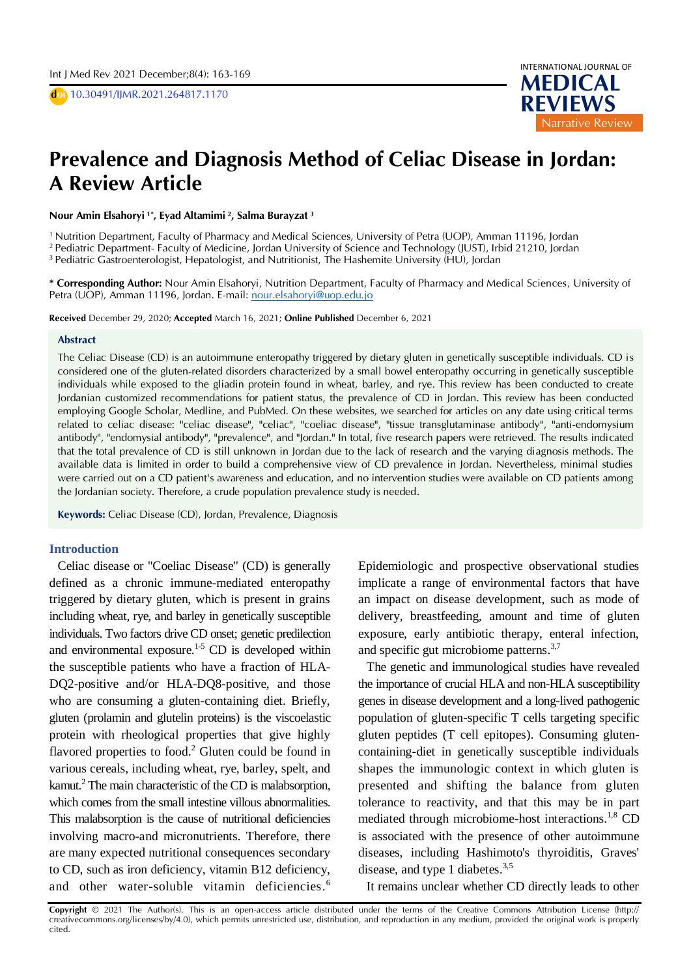D **doi** 10.30491/IJMR.2021.264817.1170



# D D **Prevalence and Diagnosis Method of Celiac Disease in Jordan:**  A **A Review Article**

D **Nour Amin Elsahoryi 1\* , Eyad Altamimi <sup>2</sup>, Salma Burayzat <sup>3</sup>**

<sup>1</sup> Nutrition Department, Faculty of Pharmacy and Medical Sciences, University of Petra (UOP), Amman 11196, Jordan <sup>2</sup> Pediatric Department- Faculty of Medicine, Jordan University of Science and Technology (JUST), Irbid 21210, Jordan

<sup>3</sup> Pediatric Gastroenterologist, Hepatologist, and Nutritionist, The Hashemite University (HU), Jordan

**\* Corresponding Author:** Nour Amin Elsahoryi, Nutrition Department, Faculty of Pharmacy and Medical Sciences, University of Petra (UOP), Amman 11196, Jordan. E-mail[: nour.elsahoryi@uop.edu.jo](mailto:nour.elsahoryi@uop.edu.jo)

**Received** December 29, 2020; **Accepted** March 16, 2021; **Online Published** December 6, 2021

#### **Abstract**

The Celiac Disease (CD) is an autoimmune enteropathy triggered by dietary gluten in genetically susceptible individuals. CD is considered one of the gluten-related disorders characterized by a small bowel enteropathy occurring in genetically susceptible individuals while exposed to the gliadin protein found in wheat, barley, and rye. This review has been conducted to create Jordanian customized recommendations for patient status, the prevalence of CD in Jordan. This review has been conducted employing Google Scholar, Medline, and PubMed. On these websites, we searched for articles on any date using critical terms related to celiac disease: "celiac disease", "celiac", "coeliac disease", "tissue transglutaminase antibody", "anti-endomysium antibody", "endomysial antibody", "prevalence", and "Jordan." In total, five research papers were retrieved. The results indicated that the total prevalence of CD is still unknown in Jordan due to the lack of research and the varying diagnosis methods. The available data is limited in order to build a comprehensive view of CD prevalence in Jordan. Nevertheless, minimal studies were carried out on a CD patient's awareness and education, and no intervention studies were available on CD patients among the Jordanian society. Therefore, a crude population prevalence study is needed.

**Keywords:** Celiac Disease (CD), Jordan, Prevalence, Diagnosis

### **Introduction**

Celiac disease or "Coeliac Disease" (CD) is generally defined as a chronic immune-mediated enteropathy triggered by dietary gluten, which is present in grains including wheat, rye, and barley in genetically susceptible individuals. Two factors drive CD onset; genetic predilection and environmental exposure.<sup>1-5</sup> CD is developed within the susceptible patients who have a fraction of HLA-DQ2-positive and/or HLA-DQ8-positive, and those who are consuming a gluten-containing diet. Briefly, gluten (prolamin and glutelin proteins) is the viscoelastic protein with rheological properties that give highly flavored properties to food.<sup>2</sup> Gluten could be found in various cereals, including wheat, rye, barley, spelt, and kamut.<sup>2</sup> The main characteristic of the CD is malabsorption, which comes from the small intestine villous abnormalities. This malabsorption is the cause of nutritional deficiencies involving macro-and micronutrients. Therefore, there are many expected nutritional consequences secondary to CD, such as iron deficiency, vitamin B12 deficiency, and other water-soluble vitamin deficiencies.<sup>6</sup>

Epidemiologic and prospective observational studies implicate a range of environmental factors that have an impact on disease development, such as mode of delivery, breastfeeding, amount and time of gluten exposure, early antibiotic therapy, enteral infection, and specific gut microbiome patterns.<sup>3,7</sup>

The genetic and immunological studies have revealed the importance of crucial HLA and non-HLA susceptibility genes in disease development and a long-lived pathogenic population of gluten-specific T cells targeting specific gluten peptides (T cell epitopes). Consuming glutencontaining-diet in genetically susceptible individuals shapes the immunologic context in which gluten is presented and shifting the balance from gluten tolerance to reactivity, and that this may be in part mediated through microbiome-host interactions.<sup>1,8</sup> CD is associated with the presence of other autoimmune diseases, including Hashimoto's thyroiditis, Graves' disease, and type 1 diabetes.<sup>3,5</sup>

It remains unclear whether CD directly leads to other

**Copyright** © 2021 The Author(s). This is an open-access article distributed under the terms of the Creative Commons Attribution License (http:// creativecommons.org/licenses/by/4.0), which permits unrestricted use, distribution, and reproduction in any medium, provided the original work is properly cited.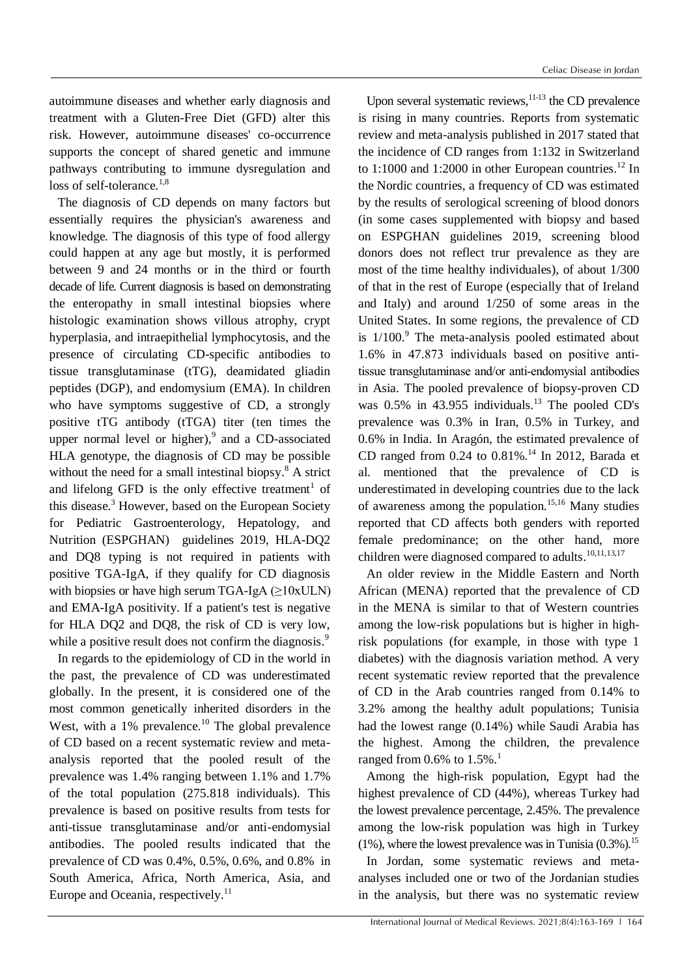autoimmune diseases and whether early diagnosis and treatment with a Gluten-Free Diet (GFD) alter this risk. However, autoimmune diseases' co-occurrence supports the concept of shared genetic and immune pathways contributing to immune dysregulation and loss of self-tolerance.<sup>1,8</sup>

The diagnosis of CD depends on many factors but essentially requires the physician's awareness and knowledge. The diagnosis of this type of food allergy could happen at any age but mostly, it is performed between 9 and 24 months or in the third or fourth decade of life. Current diagnosis is based on demonstrating the enteropathy in small intestinal biopsies where histologic examination shows villous atrophy, crypt hyperplasia, and intraepithelial lymphocytosis, and the presence of circulating CD-specific antibodies to tissue transglutaminase (tTG), deamidated gliadin peptides (DGP), and endomysium (EMA). In children who have symptoms suggestive of CD, a strongly positive tTG antibody (tTGA) titer (ten times the upper normal level or higher), 9 and a CD-associated HLA genotype, the diagnosis of CD may be possible without the need for a small intestinal biopsy.<sup>8</sup> A strict and lifelong GFD is the only effective treatment<sup>1</sup> of this disease. <sup>3</sup> However, based on the European Society for Pediatric Gastroenterology, Hepatology, and Nutrition (ESPGHAN) guidelines 2019, HLA-DQ2 and DQ8 typing is not required in patients with positive TGA-IgA, if they qualify for CD diagnosis with biopsies or have high serum TGA-IgA  $(≥10xULN)$ and EMA-IgA positivity. If a patient's test is negative for HLA DQ2 and DQ8, the risk of CD is very low, while a positive result does not confirm the diagnosis.<sup>9</sup>

In regards to the epidemiology of CD in the world in the past, the prevalence of CD was underestimated globally. In the present, it is considered one of the most common genetically inherited disorders in the West, with a 1% prevalence.<sup>10</sup> The global prevalence of CD based on a recent systematic review and metaanalysis reported that the pooled result of the prevalence was 1.4% ranging between 1.1% and 1.7% of the total population (275.818 individuals). This prevalence is based on positive results from tests for anti-tissue transglutaminase and/or anti-endomysial antibodies. The pooled results indicated that the prevalence of CD was 0.4%, 0.5%, 0.6%, and 0.8% in South America, Africa, North America, Asia, and Europe and Oceania, respectively.<sup>11</sup>

Upon several systematic reviews, <sup>11-13</sup> the CD prevalence is rising in many countries. Reports from systematic review and meta-analysis published in 2017 stated that the incidence of CD ranges from 1:132 in Switzerland to 1:1000 and 1:2000 in other European countries.<sup>12</sup> In the Nordic countries, a frequency of CD was estimated by the results of serological screening of blood donors (in some cases supplemented with biopsy and based on ESPGHAN guidelines 2019, screening blood donors does not reflect trur prevalence as they are most of the time healthy individuales), of about 1/300 of that in the rest of Europe (especially that of Ireland and Italy) and around 1/250 of some areas in the United States. In some regions, the prevalence of CD is 1/100. <sup>9</sup> The meta-analysis pooled estimated about 1.6% in 47.873 individuals based on positive anti‐ tissue transglutaminase and/or anti-endomysial antibodies in Asia. The pooled prevalence of biopsy-proven CD was 0.5% in 43.955 individuals. <sup>13</sup> The pooled CD's prevalence was 0.3% in Iran, 0.5% in Turkey, and 0.6% in India. In Aragón, the estimated prevalence of CD ranged from 0.24 to 0.81%. <sup>14</sup> In 2012, Barada et al. mentioned that the prevalence of CD is underestimated in developing countries due to the lack of awareness among the population. 15,16 Many studies reported that CD affects both genders with reported female predominance; on the other hand, more children were diagnosed compared to adults.<sup>10,11,13,17</sup>

An older review in the Middle Eastern and North African (MENA) reported that the prevalence of CD in the MENA is similar to that of Western countries among the low-risk populations but is higher in highrisk populations (for example, in those with type 1 diabetes) with the diagnosis variation method. A very recent systematic review reported that the prevalence of CD in the Arab countries ranged from 0.14% to 3.2% among the healthy adult populations; Tunisia had the lowest range (0.14%) while Saudi Arabia has the highest. Among the children, the prevalence ranged from  $0.6\%$  to  $1.5\%$ .<sup>1</sup>

Among the high-risk population, Egypt had the highest prevalence of CD (44%), whereas Turkey had the lowest prevalence percentage, 2.45%. The prevalence among the low-risk population was high in Turkey  $(1\%)$ , where the lowest prevalence was in Tunisia  $(0.3\%)$ .<sup>15</sup>

In Jordan, some systematic reviews and metaanalyses included one or two of the Jordanian studies in the analysis, but there was no systematic review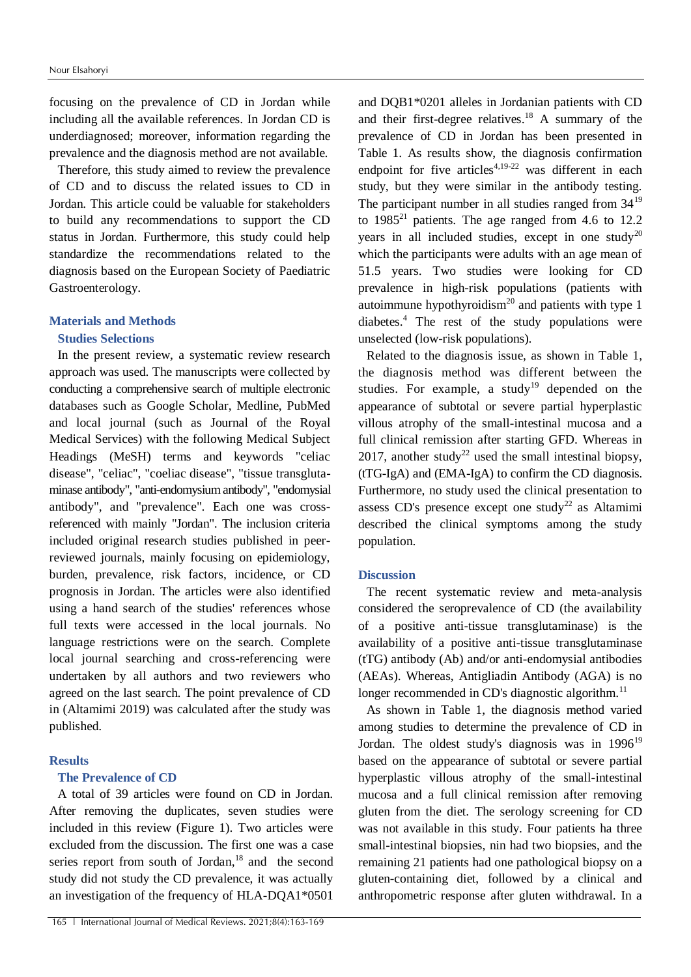focusing on the prevalence of CD in Jordan while including all the available references. In Jordan CD is underdiagnosed; moreover, information regarding the prevalence and the diagnosis method are not available.

Therefore, this study aimed to review the prevalence of CD and to discuss the related issues to CD in Jordan. This article could be valuable for stakeholders to build any recommendations to support the CD status in Jordan. Furthermore, this study could help standardize the recommendations related to the diagnosis based on the European Society of Paediatric Gastroenterology.

### **Materials and Methods**

# **Studies Selections**

In the present review, a systematic review research approach was used. The manuscripts were collected by conducting a comprehensive search of multiple electronic databases such as Google Scholar, Medline, PubMed and local journal (such as Journal of the Royal Medical Services) with the following Medical Subject Headings (MeSH) terms and keywords "celiac disease", "celiac", "coeliac disease", "tissue transglutaminase antibody", "anti-endomysium antibody", "endomysial antibody", and "prevalence". Each one was crossreferenced with mainly "Jordan". The inclusion criteria included original research studies published in peerreviewed journals, mainly focusing on epidemiology, burden, prevalence, risk factors, incidence, or CD prognosis in Jordan. The articles were also identified using a hand search of the studies' references whose full texts were accessed in the local journals. No language restrictions were on the search. Complete local journal searching and cross-referencing were undertaken by all authors and two reviewers who agreed on the last search. The point prevalence of CD in (Altamimi 2019) was calculated after the study was published.

# **Results**

## **The Prevalence of CD**

A total of 39 articles were found on CD in Jordan. After removing the duplicates, seven studies were included in this review (Figure 1). Two articles were excluded from the discussion. The first one was a case series report from south of Jordan,<sup>18</sup> and the second study did not study the CD prevalence, it was actually an investigation of the frequency of HLA-DQA1\*0501

and DQB1\*0201 alleles in Jordanian patients with CD and their first-degree relatives. <sup>18</sup> A summary of the prevalence of CD in Jordan has been presented in Table 1. As results show, the diagnosis confirmation endpoint for five articles<sup>4,19-22</sup> was different in each study, but they were similar in the antibody testing. The participant number in all studies ranged from  $34^{19}$ to  $1985<sup>21</sup>$  patients. The age ranged from 4.6 to 12.2 years in all included studies, except in one study<sup>20</sup> which the participants were adults with an age mean of 51.5 years. Two studies were looking for CD prevalence in high-risk populations (patients with autoimmune hypothyroidism<sup>20</sup> and patients with type 1 diabetes. <sup>4</sup> The rest of the study populations were unselected (low-risk populations).

Related to the diagnosis issue, as shown in Table 1, the diagnosis method was different between the studies. For example, a study<sup>19</sup> depended on the appearance of subtotal or severe partial hyperplastic villous atrophy of the small-intestinal mucosa and a full clinical remission after starting GFD. Whereas in 2017, another study<sup>22</sup> used the small intestinal biopsy, (tTG-IgA) and (EMA-IgA) to confirm the CD diagnosis. Furthermore, no study used the clinical presentation to assess CD's presence except one study<sup>22</sup> as Altamimi described the clinical symptoms among the study population.

### **Discussion**

The recent systematic review and meta-analysis considered the seroprevalence of CD (the availability of a positive anti-tissue transglutaminase) is the availability of a positive anti-tissue transglutaminase (tTG) antibody (Ab) and/or anti-endomysial antibodies (AEAs). Whereas, Antigliadin Antibody (AGA) is no longer recommended in CD's diagnostic algorithm.<sup>11</sup>

As shown in Table 1, the diagnosis method varied among studies to determine the prevalence of CD in Jordan. The oldest study's diagnosis was in  $1996^{19}$ based on the appearance of subtotal or severe partial hyperplastic villous atrophy of the small-intestinal mucosa and a full clinical remission after removing gluten from the diet. The serology screening for CD was not available in this study. Four patients ha three small-intestinal biopsies, nin had two biopsies, and the remaining 21 patients had one pathological biopsy on a gluten-containing diet, followed by a clinical and anthropometric response after gluten withdrawal. In a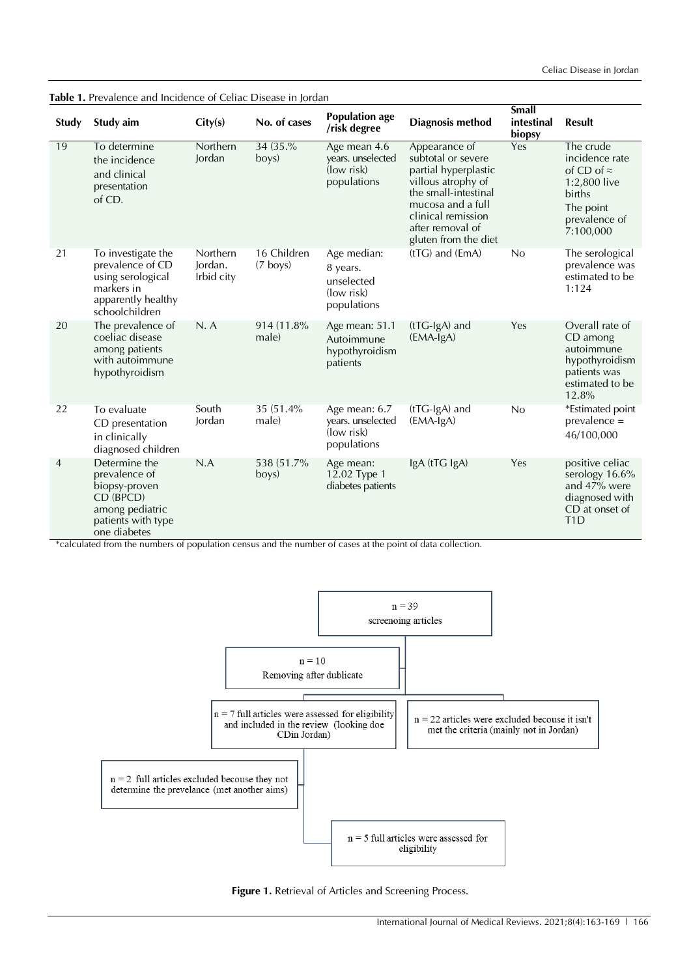| Study          | Study aim                                                                                                             | City(s)                           | No. of cases              | <b>Population age</b><br>/risk degree                                            | <b>Diagnosis method</b>                                                                                                                                                                          | Small<br>intestinal<br>biopsy | <b>Result</b>                                                                                                          |
|----------------|-----------------------------------------------------------------------------------------------------------------------|-----------------------------------|---------------------------|----------------------------------------------------------------------------------|--------------------------------------------------------------------------------------------------------------------------------------------------------------------------------------------------|-------------------------------|------------------------------------------------------------------------------------------------------------------------|
| 19             | To determine<br>the incidence<br>and clinical<br>presentation<br>of CD.                                               | <b>Northern</b><br>Jordan         | 34 (35.%)<br>boys)        | Age mean 4.6<br>years. unselected<br>$\left( \frac{1}{x} \right)$<br>populations | Appearance of<br>subtotal or severe<br>partial hyperplastic<br>villous atrophy of<br>the small-intestinal<br>mucosa and a full<br>clinical remission<br>after removal of<br>gluten from the diet | Yes                           | The crude<br>incidence rate<br>of CD of $\approx$<br>1:2,800 live<br>births<br>The point<br>prevalence of<br>7:100,000 |
| 21             | To investigate the<br>prevalence of CD<br>using serological<br>markers in<br>apparently healthy<br>schoolchildren     | Northern<br>Jordan.<br>Irbid city | 16 Children<br>$(7$ boys) | Age median:<br>8 years.<br>unselected<br>(low risk)<br>populations               | $(tTG)$ and $(EmA)$                                                                                                                                                                              | No                            | The serological<br>prevalence was<br>estimated to be<br>1:124                                                          |
| 20             | The prevalence of<br>coeliac disease<br>among patients<br>with autoimmune<br>hypothyroidism                           | N.A                               | 914 (11.8%)<br>male)      | Age mean: 51.1<br>Autoimmune<br>hypothyroidism<br>patients                       | (tTG-IgA) and<br>$(EMA-IgA)$                                                                                                                                                                     | Yes                           | Overall rate of<br>CD among<br>autoimmune<br>hypothyroidism<br>patients was<br>estimated to be<br>12.8%                |
| 22             | To evaluate<br>CD presentation<br>in clinically<br>diagnosed children                                                 | South<br>Jordan                   | 35 (51.4%)<br>male)       | Age mean: 6.7<br>years. unselected<br>(low risk)<br>populations                  | $(tTG-IgA)$ and<br>$(EMA-IgA)$                                                                                                                                                                   | No                            | *Estimated point<br>$prevalence =$<br>46/100,000                                                                       |
| $\overline{4}$ | Determine the<br>prevalence of<br>biopsy-proven<br>CD (BPCD)<br>among pediatric<br>patients with type<br>one diabetes | N.A                               | 538 (51.7%)<br>boys)      | Age mean:<br>12.02 Type 1<br>diabetes patients                                   | IgA (tTG IgA)                                                                                                                                                                                    | Yes                           | positive celiac<br>serology 16.6%<br>and 47% were<br>diagnosed with<br>CD at onset of<br>T <sub>1</sub> D              |

\*calculated from the numbers of population census and the number of cases at the point of data collection.



Figure 1. Retrieval of Articles and Screening Process.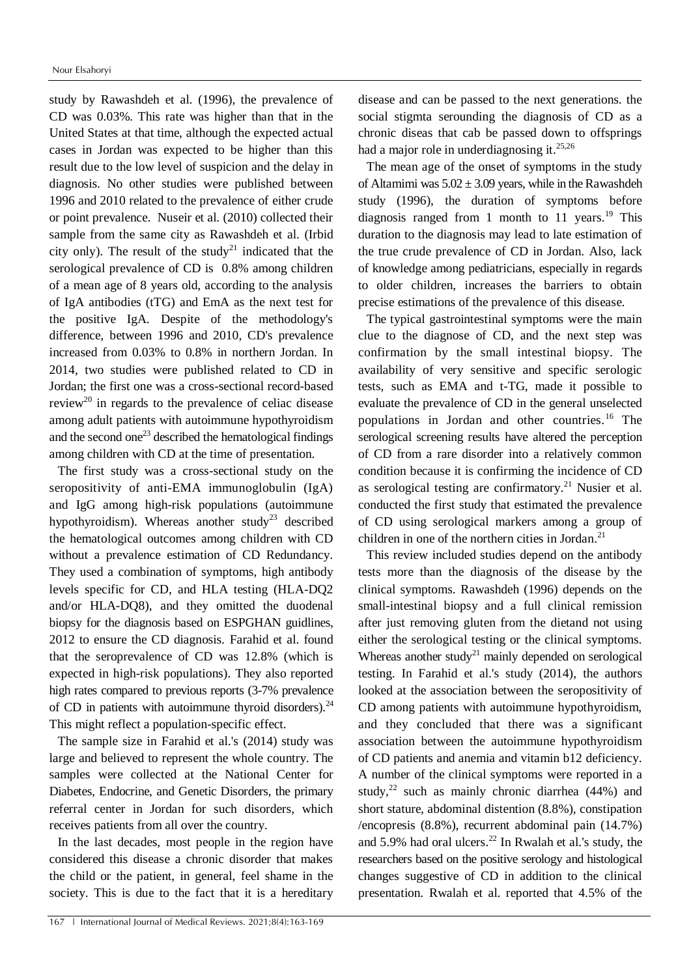study by Rawashdeh et al. (1996), the prevalence of CD was 0.03%. This rate was higher than that in the United States at that time, although the expected actual cases in Jordan was expected to be higher than this result due to the low level of suspicion and the delay in diagnosis. No other studies were published between 1996 and 2010 related to the prevalence of either crude or point prevalence. Nuseir et al. (2010) collected their sample from the same city as Rawashdeh et al. (Irbid city only). The result of the study<sup>21</sup> indicated that the serological prevalence of CD is 0.8% among children of a mean age of 8 years old, according to the analysis of IgA antibodies (tTG) and EmA as the next test for the positive IgA. Despite of the methodology's difference, between 1996 and 2010, CD's prevalence increased from 0.03% to 0.8% in northern Jordan. In 2014, two studies were published related to CD in Jordan; the first one was a cross-sectional record-based review<sup>20</sup> in regards to the prevalence of celiac disease among adult patients with autoimmune hypothyroidism and the second one<sup>23</sup> described the hematological findings among children with CD at the time of presentation.

The first study was a cross-sectional study on the seropositivity of anti-EMA immunoglobulin (IgA) and IgG among high-risk populations (autoimmune hypothyroidism). Whereas another study<sup>23</sup> described the hematological outcomes among children with CD without a prevalence estimation of CD Redundancy. They used a combination of symptoms, high antibody levels specific for CD, and HLA testing (HLA-DQ2 and/or HLA-DQ8), and they omitted the duodenal biopsy for the diagnosis based on ESPGHAN guidlines, 2012 to ensure the CD diagnosis. Farahid et al. found that the seroprevalence of CD was 12.8% (which is expected in high-risk populations). They also reported high rates compared to previous reports (3-7% prevalence of CD in patients with autoimmune thyroid disorders). $^{24}$ This might reflect a population-specific effect.

The sample size in Farahid et al.'s (2014) study was large and believed to represent the whole country. The samples were collected at the National Center for Diabetes, Endocrine, and Genetic Disorders, the primary referral center in Jordan for such disorders, which receives patients from all over the country.

In the last decades, most people in the region have considered this disease a chronic disorder that makes the child or the patient, in general, feel shame in the society. This is due to the fact that it is a hereditary disease and can be passed to the next generations. the social stigmta serounding the diagnosis of CD as a chronic diseas that cab be passed down to offsprings had a major role in underdiagnosing it.<sup>25,26</sup>

The mean age of the onset of symptoms in the study of Altamimi was  $5.02 \pm 3.09$  years, while in the Rawashdeh study (1996), the duration of symptoms before diagnosis ranged from 1 month to 11 years.<sup>19</sup> This duration to the diagnosis may lead to late estimation of the true crude prevalence of CD in Jordan. Also, lack of knowledge among pediatricians, especially in regards to older children, increases the barriers to obtain precise estimations of the prevalence of this disease.

The typical gastrointestinal symptoms were the main clue to the diagnose of CD, and the next step was confirmation by the small intestinal biopsy. The availability of very sensitive and specific serologic tests, such as EMA and t-TG, made it possible to evaluate the prevalence of CD in the general unselected populations in Jordan and other countries.<sup>16</sup> The serological screening results have altered the perception of CD from a rare disorder into a relatively common condition because it is confirming the incidence of CD as serological testing are confirmatory. <sup>21</sup> Nusier et al. conducted the first study that estimated the prevalence of CD using serological markers among a group of children in one of the northern cities in Jordan. 21

This review included studies depend on the antibody tests more than the diagnosis of the disease by the clinical symptoms. Rawashdeh (1996) depends on the small-intestinal biopsy and a full clinical remission after just removing gluten from the dietand not using either the serological testing or the clinical symptoms. Whereas another study<sup>21</sup> mainly depended on serological testing. In Farahid et al.'s study (2014), the authors looked at the association between the seropositivity of CD among patients with autoimmune hypothyroidism, and they concluded that there was a significant association between the autoimmune hypothyroidism of CD patients and anemia and vitamin b12 deficiency. A number of the clinical symptoms were reported in a study,<sup>22</sup> such as mainly chronic diarrhea (44%) and short stature, abdominal distention (8.8%), constipation /encopresis (8.8%), recurrent abdominal pain (14.7%) and 5.9% had oral ulcers. <sup>22</sup> In Rwalah et al.'s study, the researchers based on the positive serology and histological changes suggestive of CD in addition to the clinical presentation. Rwalah et al. reported that 4.5% of the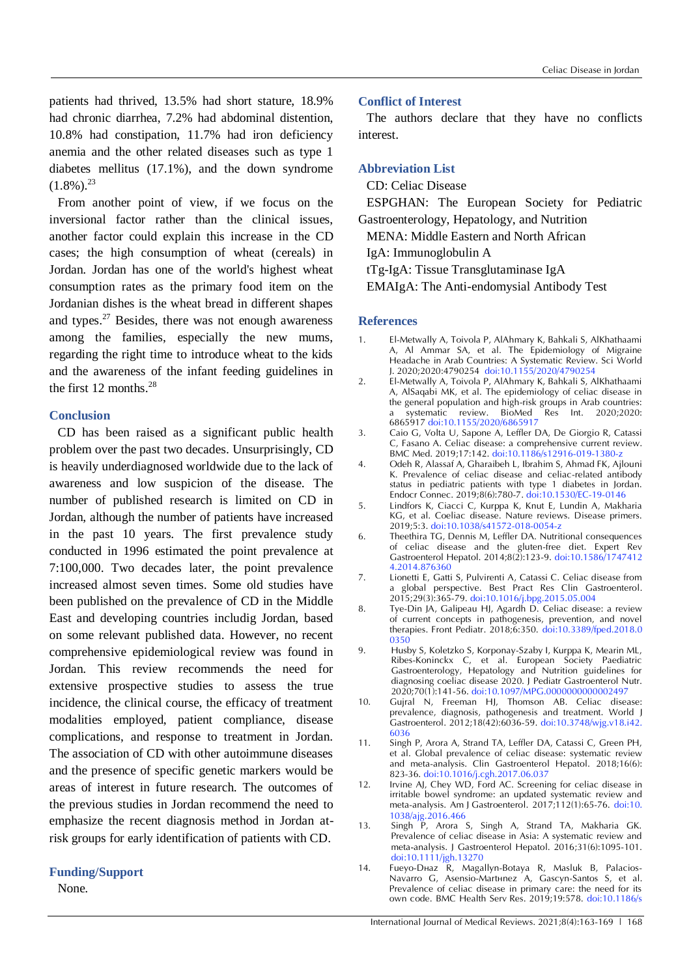patients had thrived, 13.5% had short stature, 18.9% had chronic diarrhea, 7.2% had abdominal distention, 10.8% had constipation, 11.7% had iron deficiency anemia and the other related diseases such as type 1 diabetes mellitus (17.1%), and the down syndrome  $(1.8\%)$ <sup>23</sup>

From another point of view, if we focus on the inversional factor rather than the clinical issues, another factor could explain this increase in the CD cases; the high consumption of wheat (cereals) in Jordan. Jordan has one of the world's highest wheat consumption rates as the primary food item on the Jordanian dishes is the wheat bread in different shapes and types. $27$  Besides, there was not enough awareness among the families, especially the new mums, regarding the right time to introduce wheat to the kids and the awareness of the infant feeding guidelines in the first 12 months. 28

# **Conclusion**

CD has been raised as a significant public health problem over the past two decades. Unsurprisingly, CD is heavily underdiagnosed worldwide due to the lack of awareness and low suspicion of the disease. The number of published research is limited on CD in Jordan, although the number of patients have increased in the past 10 years. The first prevalence study conducted in 1996 estimated the point prevalence at 7:100,000. Two decades later, the point prevalence increased almost seven times. Some old studies have been published on the prevalence of CD in the Middle East and developing countries includig Jordan, based on some relevant published data. However, no recent comprehensive epidemiological review was found in Jordan. This review recommends the need for extensive prospective studies to assess the true incidence, the clinical course, the efficacy of treatment modalities employed, patient compliance, disease complications, and response to treatment in Jordan. The association of CD with other autoimmune diseases and the presence of specific genetic markers would be areas of interest in future research. The outcomes of the previous studies in Jordan recommend the need to emphasize the recent diagnosis method in Jordan atrisk groups for early identification of patients with CD.

### **Funding/Support**

None.

#### **Conflict of Interest**

The authors declare that they have no conflicts interest.

#### **Abbreviation List**

CD: Celiac Disease

ESPGHAN: The European Society for Pediatric Gastroenterology, Hepatology, and Nutrition

MENA: Middle Eastern and North African

IgA: [Immunoglobulin A](https://en.wikipedia.org/wiki/Immunoglobulin_A)

tTg-IgA: Tissue Transglutaminase IgA

EMAIgA: The Anti-endomysial Antibody Test

#### **References**

- 1. El-Metwally A, Toivola P, AlAhmary K, Bahkali S, AlKhathaami A, Al Ammar SA, et al. The Epidemiology of Migraine Headache in Arab Countries: A Systematic Review. Sci World J. 2020;2020:4790254 [doi:10.1155/2020/4790254](https://doi.org/10.1155/2020/4790254)
- 2. El-Metwally A, Toivola P, AlAhmary K, Bahkali S, AlKhathaami A, AlSaqabi MK, et al. The epidemiology of celiac disease in the general population and high-risk groups in Arab countries: a systematic review. BioMed Res Int. 2020;2020: 6865917 [doi:10.1155/2020/6865917](https://doi:10.1155/2020/6865917)
- 3. Caio G, Volta U, Sapone A, Leffler DA, De Giorgio R, Catassi C, Fasano A. Celiac disease: a comprehensive current review. BMC Med. 2019;17:142. [doi:10.1186/s12916-019-1380-z](https://doi.org/10.1186/s12916-019-1380-z)
- 4. Odeh R, Alassaf A, Gharaibeh L, Ibrahim S, Ahmad FK, Ajlouni K. Prevalence of celiac disease and celiac-related antibody status in pediatric patients with type 1 diabetes in Jordan. Endocr Connec. 2019;8(6):780-7. [doi:10.1530/EC-19-0146](https://doi.org/10.1530/EC-19-0146)
- 5. Lindfors K, Ciacci C, Kurppa K, Knut E, Lundin A, Makharia KG, et al. Coeliac disease. Nature reviews. Disease primers. 2019;5:3. [doi:10.1038/s41572-018-0054-z](https://doi.org/10.1038/s41572-018-0054-z)
- 6. Theethira TG, Dennis M, Leffler DA. Nutritional consequences of celiac disease and the gluten-free diet. Expert Rev Gastroenterol Hepatol. 2014;8(2):123-9. [doi:10.1586/1747412](https://doi.org/10.1586/17474124.2014.876360) [4.2014.876360](https://doi.org/10.1586/17474124.2014.876360)
- 7. Lionetti E, Gatti S, Pulvirenti A, Catassi C. Celiac disease from a global perspective. Best Pract Res Clin Gastroenterol. 2015;29(3):365-79. [doi:10.1016/j.bpg.2015.05.004](https://doi.org/10.1016/j.bpg.2015.05.004)
- 8. Tye-Din JA, Galipeau HJ, Agardh D. Celiac disease: a review of current concepts in pathogenesis, prevention, and novel therapies. Front Pediatr. 2018;6:350. [doi:10.3389/fped.2018.0](https://doi.org/10.3389/fped.2018.00350) [0350](https://doi.org/10.3389/fped.2018.00350)
- 9. Husby S, Koletzko S, Korponay-Szaby I, Kurppa K, Mearin ML, Ribes-Koninckx C, et al. European Society Paediatric Gastroenterology, Hepatology and Nutrition guidelines for diagnosing coeliac disease 2020. J Pediatr Gastroenterol Nutr. 2020;70(1):141-56. doi:10.1097/MPG.0000000000002497
- 10. Gujral N, Freeman HJ, Thomson AB. Celiac disease: prevalence, diagnosis, pathogenesis and treatment. World J Gastroenterol. 2012;18(42):6036-59. do[i:10.3748/wjg.v18.i42.](https://dx.doi.org/10.3748%2Fwjg.v18.i42.6036) [6036](https://dx.doi.org/10.3748%2Fwjg.v18.i42.6036)
- 11. Singh P, Arora A, Strand TA, Leffler DA, Catassi C, Green PH, et al. Global prevalence of celiac disease: systematic review and meta-analysis. Clin Gastroenterol Hepatol. 2018;16(6): 823-36. [doi:10.1016/j.cgh.2017.06.037](https://doi.org/10.1016/j.cgh.2017.06.037)
- 12. Irvine AJ, Chey WD, Ford AC. Screening for celiac disease in irritable bowel syndrome: an updated systematic review and meta-analysis. Am J Gastroenterol. 2017;112(1):65-76. doi:10. 1038/ajg.2016.466
- 13. Singh P, Arora S, Singh A, Strand TA, Makharia GK. Prevalence of celiac disease in Asia: A systematic review and meta‐analysis. J Gastroenterol Hepatol. 2016;31(6):1095-101. [doi:10.1111/jgh.13270](https://doi.org/10.1111/jgh.13270)
- 14. Fueyo-Dhaz R, Magallyn-Botaya R, Masluk B, Palacios-Navarro G, Asensio-Marthnez A, Gascyn-Santos S, et al. Prevalence of celiac disease in primary care: the need for its own code. BMC Health Serv Res. 2019;19:578. [doi:10.1186/s](https://doi.org/10.1186/s12913-019-4407-4)